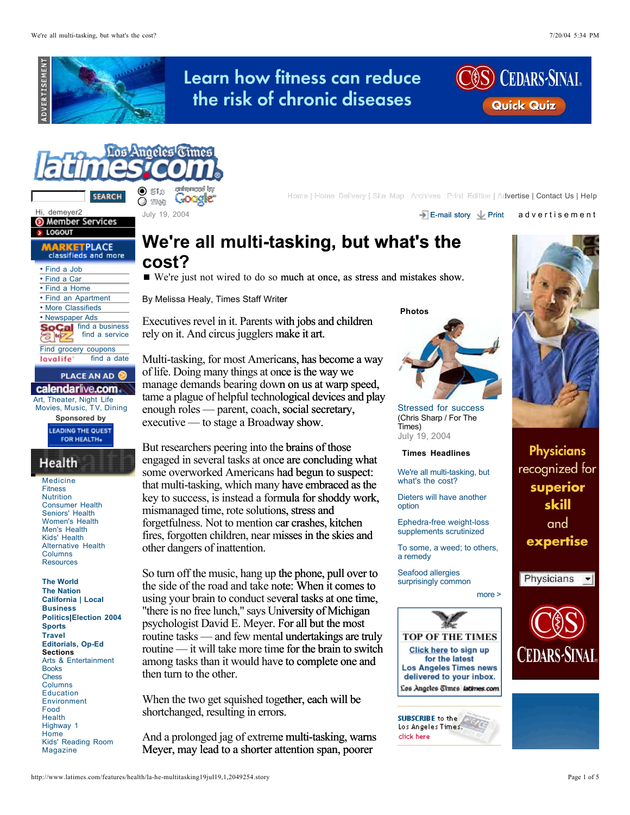





Hi, demeyer2<br> **O** Member Services



| • Find a Job                      |
|-----------------------------------|
| • Find a Car                      |
| • Find a Home                     |
| • Find an Apartment               |
| • More Classifieds                |
| • Newspaper Ads                   |
| $\blacksquare$ find a business    |
| find a service                    |
| Find grocery coupons              |
| lavalife <sup>*</sup> find a date |
| <b>PLACE AN AD</b>                |
| calendarlive.com                  |
| Art, Theater, Night Life          |
| Movies, Music, TV, Dining         |

**Sponsored by**

**Medicine** Fitness **Nutrition** Consumer Health Seniors' Health Women's Health Men's Health Kids' Health Alternative Health Columns **Resources** 

**The World The Nation California | Local Business Politics|Election 2004 Sports Travel Editorials, Op-Ed Sections** Arts & Entertainment Books Chess Columns Education Environment Food Health Highway 1 **Home** Kids' Reading Room Magazine

**SEARCH** CONV. Concelle<sup>r</sup> **Example 2014** Home | Home Delivery | Site Map | Archives | Print Edition | Advertise | Contact Us | Help

July 19, 2004 E-mail story Print a d v e r t i s e m e n t

# **We're all multi-tasking, but what's the asking, cost?**

We're just not wired to do so much at once, as stress and mistakes show.

By Melissa Healy, Times Staff Writer

Executives revel in it. Parents with jobs and children rely on it. And circus jugglers make it art.

Multi-tasking, for most Americans, has become a way of life. Doing many things at once is the way we manage demands bearing down on us at warp speed, tame a plague of helpful technological devices and play enough roles — parent, coach, social secretary, executive — to stage a Broadway show.

But researchers peering into the brains of those engaged in several tasks at once are concluding what some overworked Americans had begun to suspect: that multi-tasking, which many have embraced as the key to success, is instead a formula for shoddy work, mismanaged time, rote solutions, stress and forgetfulness. Not to mention car crashes, kitchen fires, forgotten children, near misses in the skies and other dangers of inattention. once is the way we<br>wn on us at warp s<br>nological devices are<br>h, social secretary,<br>dway show.<br>the brains of those<br>nce are concluding<br>s had begun to suspy<br>have embraced a<br>ormula for shoddy<br>ons, stress and<br>a car crashes, kitch

So turn off the music, hang up the phone, pull over to the side of the road and take note: When it comes to using your brain to conduct several tasks at one time, "there is no free lunch," says University of Michigan psychologist David E. Meyer. For all but the most routine tasks — and few mental undertakings are truly routine — it will take more time for the brain to switch among tasks than it would have to complete one and then turn to the other. Learn how fitness can reduce<br>the risk of chronic diseases costs.<br>
<br>
Learn in the risk of chronic diseases costs.<br>
<br>
Learn in the cost of the cost of the cost of the cost of the cost of the cost of the cost<br>  $\frac{2}{3}$  PM a

When the two get squished together, each will be shortchanged, resulting in errors.

And a prolonged jag of extreme multi-tasking, warns Meyer, may lead to a shorter attention span, poorer

 **Photos**



Stressed for success (Chris Sharp / For The Times) July 19, 2004

## **Times Headlines**

We're all multi-tasking, but what's the cost?

Dieters will have another option

Ephedra-free weight-loss supplements scrutinized

To some, a weed; to others, a remedy

Seafood allergies surprisingly common

## more >





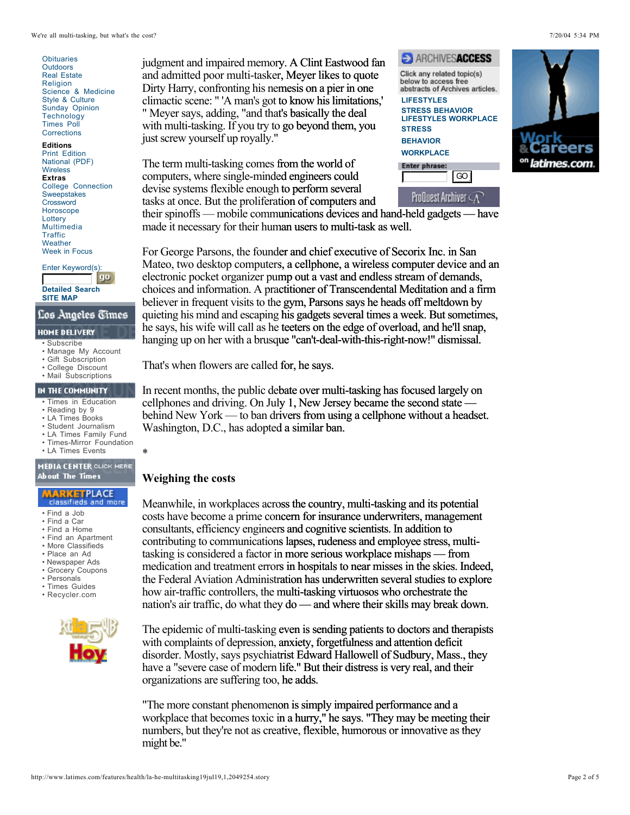**Obituaries Outdoors** Real Estate **Religion** Science & Medicine Style & Culture Sunday Opinion **Technology** Times Poll **Corrections** 

## **Editions**

Print Edition National (PDF) **Wireless Extras** College Connection Sweepstakes **Crossword** Horoscope **Lottery** Multimedia **Traffic Weather** Week in Focus

Enter Keyword(s):<br> **Enter Keyword** (**go** 

**Detailed Search SITE MAP**

- Subscribe
- Manage My Account
- Gift Subscription
- College Discount

# • Mail Subscriptions

- Times in Education
- Reading by 9
- LA Times Books
- Student Journalism • LA Times Family Fund
- Times-Mirror Foundation
- LA Times Events

- Find a Job
- Find a Car
- Find a Home
- Find an Apartment • More Classifieds
- Place an Ad
- Newspaper Ads
- Grocery Coupons
- Personals
- Times Guides
- Recycler.com



judgment and impaired memory. A Clint Eastwood fan and admitted poor multi-tasker, Meyer likes to quote Dirty Harry, confronting his nemesis on a pier in one climactic scene: " 'A man's got to know his limitations,' " Meyer says, adding, "and that's basically the deal with multi-tasking. If you try to go beyond them, you just screw yourself up royally."

The term multi-tasking comes from the world of computers, where single-minded engineers could devise systems flexible enough to perform several tasks at once. But the proliferation of computers and





their spinoffs — mobile communications devices and hand-held gadgets — have made it necessary for their human users to multi-task as well.

For George Parsons, the founder and chief executive of Secorix Inc. in San Mateo, two desktop computers, a cellphone, a wireless computer device and an electronic pocket organizer pump out a vast and endless stream of demands, choices and information. A practitioner of Transcendental Meditation and a firm believer in frequent visits to the gym, Parsons says he heads off meltdown by quieting his mind and escaping his gadgets several times a week. But sometimes, he says, his wife will call as he teeters on the edge of overload, and he'll snap, hanging up on her with a brusque "can't-deal-with-this-right-now!" dismissal. Solution Eastwood fancy and the Control of the Chiese are the state of the control of the mones of the bate of the states of to go beyond them, you stress also the syncess and the perform several week in the word of the pe

That's when flowers are called for, he says.

In recent months, the public debate over multi-tasking has focused largely on cellphones and driving. On July 1, New Jersey became the second state behind New York — to ban drivers from using a cellphone without a headset. Washington, D.C., has adopted a similar ban.

# **Weighing the costs**

\*

Meanwhile, in workplaces across the country, multi-tasking and its potential costs have become a prime concern for insurance underwriters, management consultants, efficiency engineers and cognitive scientists. In addition to contributing to communications lapses, rudeness and employee stress, multitasking is considered a factor in more serious workplace mishaps — from medication and treatment errors in hospitals to near misses in the skies. Indeed, the Federal Aviation Administration has underwritten several studies to explore how air-traffic controllers, the multi-tasking virtuosos who orchestrate the nation's air traffic, do what they do — and where their skills may break down. s n — rs respectively. The set of the set of the set of the cost of the set of the set of the set of the set of the set of the set of the set of the set of the set of the set of the set of the set of the set of the set of

The epidemic of multi-tasking even is sending patients to doctors and therapists with complaints of depression, anxiety, forgetfulness and attention deficit disorder. Mostly, says psychiatrist Edward Hallowell of Sudbury, Mass., they have a "severe case of modern life." But their distress is very real, and their organizations are suffering too, he adds.

"The more constant phenomenon is simply impaired performance and a workplace that becomes toxic in a hurry," he says. "They may be meeting their numbers, but they're not as creative, flexible, humorous or innovative as they might be."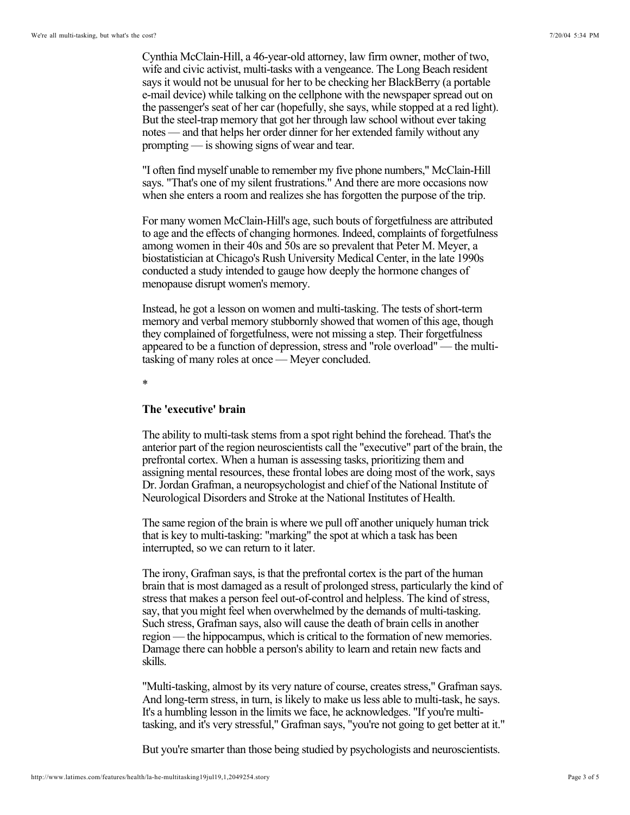Cynthia McClain-Hill, a 46-year-old attorney, law firm owner, mother of two, wife and civic activist, multi-tasks with a vengeance. The Long Beach resident says it would not be unusual for her to be checking her BlackBerry (a portable e-mail device) while talking on the cellphone with the newspaper spread out on the passenger's seat of her car (hopefully, she says, while stopped at a red light). But the steel-trap memory that got her through law school without ever taking notes — and that helps her order dinner for her extended family without any prompting — is showing signs of wear and tear.

"I often find myself unable to remember my five phone numbers," McClain-Hill says. "That's one of my silent frustrations." And there are more occasions now when she enters a room and realizes she has forgotten the purpose of the trip.

For many women McClain-Hill's age, such bouts of forgetfulness are attributed to age and the effects of changing hormones. Indeed, complaints of forgetfulness among women in their 40s and 50s are so prevalent that Peter M. Meyer, a biostatistician at Chicago's Rush University Medical Center, in the late 1990s conducted a study intended to gauge how deeply the hormone changes of menopause disrupt women's memory.

Instead, he got a lesson on women and multi-tasking. The tests of short-term memory and verbal memory stubbornly showed that women of this age, though they complained of forgetfulness, were not missing a step. Their forgetfulness appeared to be a function of depression, stress and "role overload" — the multitasking of many roles at once — Meyer concluded.

\*

## **The 'executive' brain**

The ability to multi-task stems from a spot right behind the forehead. That's the anterior part of the region neuroscientists call the "executive" part of the brain, the prefrontal cortex. When a human is assessing tasks, prioritizing them and assigning mental resources, these frontal lobes are doing most of the work, says Dr. Jordan Grafman, a neuropsychologist and chief of the National Institute of Neurological Disorders and Stroke at the National Institutes of Health.

The same region of the brain is where we pull off another uniquely human trick that is key to multi-tasking: "marking" the spot at which a task has been interrupted, so we can return to it later.

The irony, Grafman says, is that the prefrontal cortex is the part of the human brain that is most damaged as a result of prolonged stress, particularly the kind of stress that makes a person feel out-of-control and helpless. The kind of stress, say, that you might feel when overwhelmed by the demands of multi-tasking. Such stress, Grafman says, also will cause the death of brain cells in another region — the hippocampus, which is critical to the formation of new memories. Damage there can hobble a person's ability to learn and retain new facts and skills.

"Multi-tasking, almost by its very nature of course, creates stress," Grafman says. And long-term stress, in turn, is likely to make us less able to multi-task, he says. It's a humbling lesson in the limits we face, he acknowledges. "If you're multitasking, and it's very stressful," Grafman says, "you're not going to get better at it."

But you're smarter than those being studied by psychologists and neuroscientists.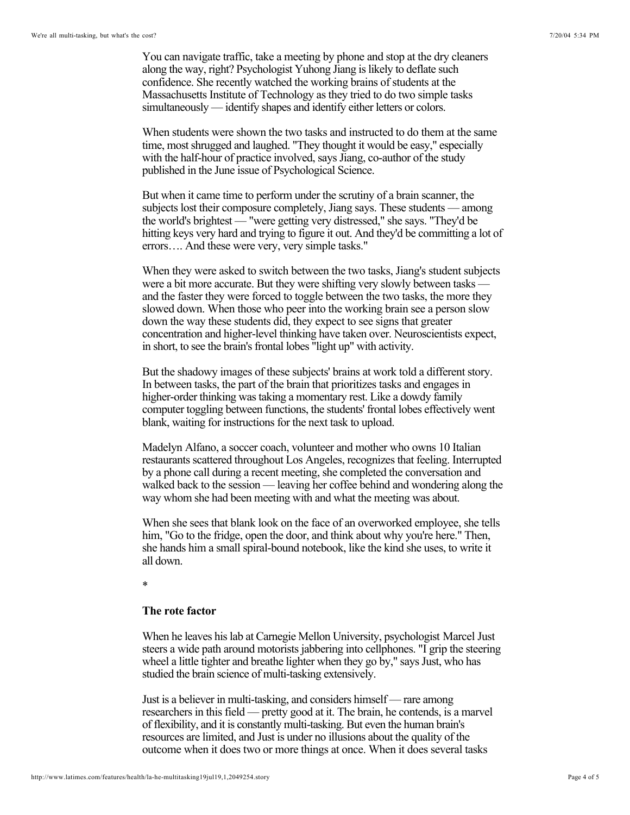You can navigate traffic, take a meeting by phone and stop at the dry cleaners along the way, right? Psychologist Yuhong Jiang is likely to deflate such confidence. She recently watched the working brains of students at the Massachusetts Institute of Technology as they tried to do two simple tasks simultaneously — identify shapes and identify either letters or colors.

When students were shown the two tasks and instructed to do them at the same time, most shrugged and laughed. "They thought it would be easy," especially with the half-hour of practice involved, says Jiang, co-author of the study published in the June issue of Psychological Science.

But when it came time to perform under the scrutiny of a brain scanner, the subjects lost their composure completely, Jiang says. These students — among the world's brightest — "were getting very distressed," she says. "They'd be hitting keys very hard and trying to figure it out. And they'd be committing a lot of errors…. And these were very, very simple tasks."

When they were asked to switch between the two tasks, Jiang's student subjects were a bit more accurate. But they were shifting very slowly between tasks and the faster they were forced to toggle between the two tasks, the more they slowed down. When those who peer into the working brain see a person slow down the way these students did, they expect to see signs that greater concentration and higher-level thinking have taken over. Neuroscientists expect, in short, to see the brain's frontal lobes "light up" with activity.

But the shadowy images of these subjects' brains at work told a different story. In between tasks, the part of the brain that prioritizes tasks and engages in higher-order thinking was taking a momentary rest. Like a dowdy family computer toggling between functions, the students' frontal lobes effectively went blank, waiting for instructions for the next task to upload.

Madelyn Alfano, a soccer coach, volunteer and mother who owns 10 Italian restaurants scattered throughout Los Angeles, recognizes that feeling. Interrupted by a phone call during a recent meeting, she completed the conversation and walked back to the session — leaving her coffee behind and wondering along the way whom she had been meeting with and what the meeting was about.

When she sees that blank look on the face of an overworked employee, she tells him, "Go to the fridge, open the door, and think about why you're here." Then, she hands him a small spiral-bound notebook, like the kind she uses, to write it all down.

\*

# **The rote factor**

When he leaves his lab at Carnegie Mellon University, psychologist Marcel Just steers a wide path around motorists jabbering into cellphones. "I grip the steering wheel a little tighter and breathe lighter when they go by," says Just, who has studied the brain science of multi-tasking extensively.

Just is a believer in multi-tasking, and considers himself — rare among researchers in this field — pretty good at it. The brain, he contends, is a marvel of flexibility, and it is constantly multi-tasking. But even the human brain's resources are limited, and Just is under no illusions about the quality of the outcome when it does two or more things at once. When it does several tasks